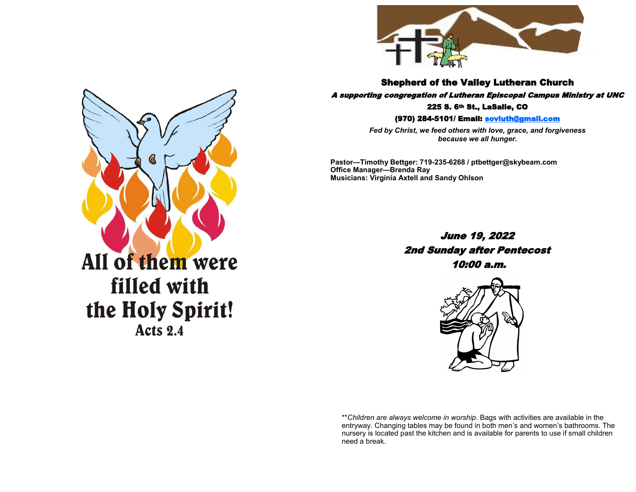

Shepherd of the Valley Lutheran Church

A supporting congregation of Lutheran Episcopal Campus Ministry at UNC 225 S. 6th St., LaSalle, CO

(970) 284-5101/ Email: [sovluth@gmail.com](mailto:sovluth@outlook.com)

*Fed by Christ, we feed others with love, grace, and forgiveness because we all hunger.*

**Pastor—Timothy Bettger: 719-235-6268 / ptbettger@skybeam.com Office Manager—Brenda Ray Musicians: Virginia Axtell and Sandy Ohlson**

> June 19, 2022 2nd Sunday after Pentecost 10:00 a.m.



\*\**Children are always welcome in worship*. Bags with activities are available in the entryway. Changing tables may be found in both men's and women's bathrooms. The nursery is located past the kitchen and is available for parents to use if small children need a break.



**Acts 2.4**